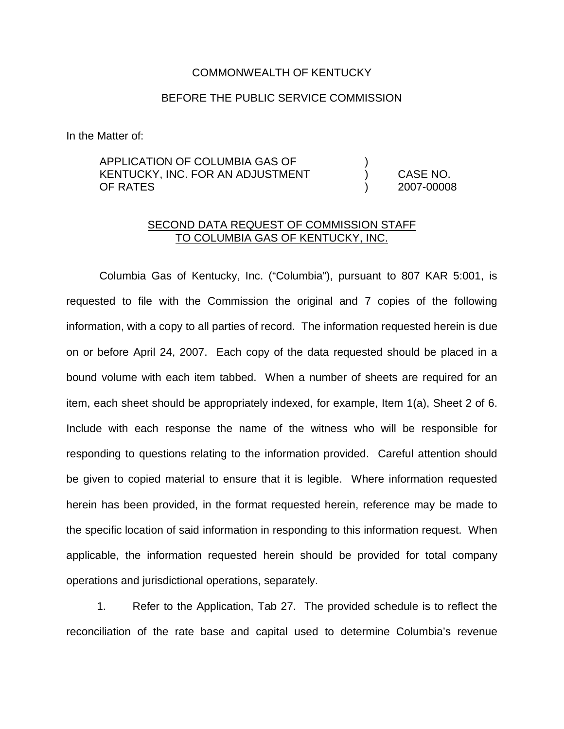#### COMMONWEALTH OF KENTUCKY

## BEFORE THE PUBLIC SERVICE COMMISSION

In the Matter of:

# APPLICATION OF COLUMBIA GAS OF ) KENTUCKY, INC. FOR AN ADJUSTMENT ) CASE NO. OF RATES ) 2007-00008

## SECOND DATA REQUEST OF COMMISSION STAFF TO COLUMBIA GAS OF KENTUCKY, INC.

Columbia Gas of Kentucky, Inc. ("Columbia"), pursuant to 807 KAR 5:001, is requested to file with the Commission the original and 7 copies of the following information, with a copy to all parties of record. The information requested herein is due on or before April 24, 2007. Each copy of the data requested should be placed in a bound volume with each item tabbed. When a number of sheets are required for an item, each sheet should be appropriately indexed, for example, Item 1(a), Sheet 2 of 6. Include with each response the name of the witness who will be responsible for responding to questions relating to the information provided. Careful attention should be given to copied material to ensure that it is legible. Where information requested herein has been provided, in the format requested herein, reference may be made to the specific location of said information in responding to this information request. When applicable, the information requested herein should be provided for total company operations and jurisdictional operations, separately.

1. Refer to the Application, Tab 27. The provided schedule is to reflect the reconciliation of the rate base and capital used to determine Columbia's revenue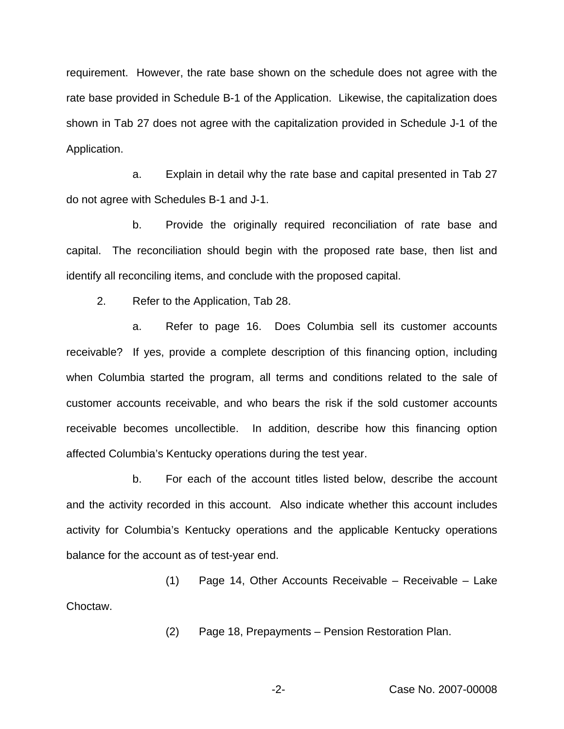requirement. However, the rate base shown on the schedule does not agree with the rate base provided in Schedule B-1 of the Application. Likewise, the capitalization does shown in Tab 27 does not agree with the capitalization provided in Schedule J-1 of the Application.

a. Explain in detail why the rate base and capital presented in Tab 27 do not agree with Schedules B-1 and J-1.

b. Provide the originally required reconciliation of rate base and capital. The reconciliation should begin with the proposed rate base, then list and identify all reconciling items, and conclude with the proposed capital.

2. Refer to the Application, Tab 28.

a. Refer to page 16. Does Columbia sell its customer accounts receivable? If yes, provide a complete description of this financing option, including when Columbia started the program, all terms and conditions related to the sale of customer accounts receivable, and who bears the risk if the sold customer accounts receivable becomes uncollectible. In addition, describe how this financing option affected Columbia's Kentucky operations during the test year.

b. For each of the account titles listed below, describe the account and the activity recorded in this account. Also indicate whether this account includes activity for Columbia's Kentucky operations and the applicable Kentucky operations balance for the account as of test-year end.

(1) Page 14, Other Accounts Receivable – Receivable – Lake Choctaw.

(2) Page 18, Prepayments – Pension Restoration Plan.

### -2- Case No. 2007-00008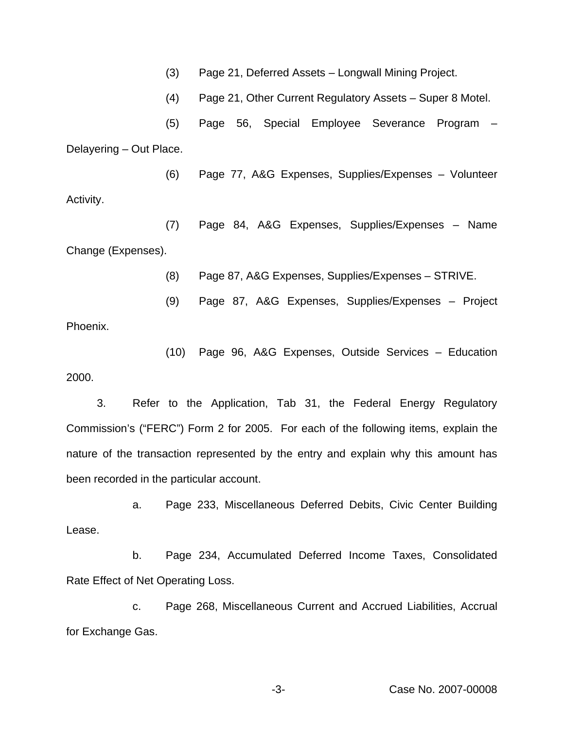(3) Page 21, Deferred Assets – Longwall Mining Project.

(4) Page 21, Other Current Regulatory Assets – Super 8 Motel.

(5) Page 56, Special Employee Severance Program – Delayering – Out Place.

(6) Page 77, A&G Expenses, Supplies/Expenses – Volunteer Activity.

(7) Page 84, A&G Expenses, Supplies/Expenses – Name Change (Expenses).

(8) Page 87, A&G Expenses, Supplies/Expenses – STRIVE.

(9) Page 87, A&G Expenses, Supplies/Expenses – Project

Phoenix.

(10) Page 96, A&G Expenses, Outside Services – Education 2000.

3. Refer to the Application, Tab 31, the Federal Energy Regulatory Commission's ("FERC") Form 2 for 2005. For each of the following items, explain the nature of the transaction represented by the entry and explain why this amount has been recorded in the particular account.

a. Page 233, Miscellaneous Deferred Debits, Civic Center Building Lease.

b. Page 234, Accumulated Deferred Income Taxes, Consolidated Rate Effect of Net Operating Loss.

c. Page 268, Miscellaneous Current and Accrued Liabilities, Accrual for Exchange Gas.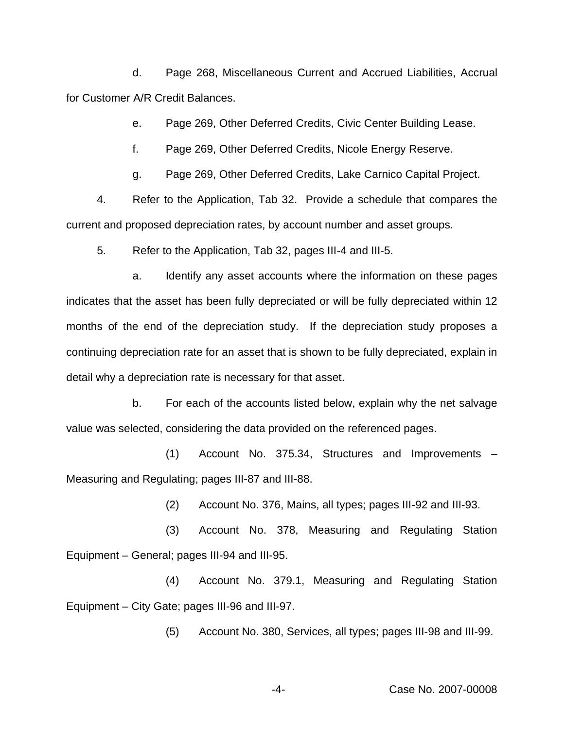d. Page 268, Miscellaneous Current and Accrued Liabilities, Accrual for Customer A/R Credit Balances.

e. Page 269, Other Deferred Credits, Civic Center Building Lease.

f. Page 269, Other Deferred Credits, Nicole Energy Reserve.

g. Page 269, Other Deferred Credits, Lake Carnico Capital Project.

4. Refer to the Application, Tab 32. Provide a schedule that compares the current and proposed depreciation rates, by account number and asset groups.

5. Refer to the Application, Tab 32, pages III-4 and III-5.

a. Identify any asset accounts where the information on these pages indicates that the asset has been fully depreciated or will be fully depreciated within 12 months of the end of the depreciation study. If the depreciation study proposes a continuing depreciation rate for an asset that is shown to be fully depreciated, explain in detail why a depreciation rate is necessary for that asset.

b. For each of the accounts listed below, explain why the net salvage value was selected, considering the data provided on the referenced pages.

(1) Account No. 375.34, Structures and Improvements – Measuring and Regulating; pages III-87 and III-88.

(2) Account No. 376, Mains, all types; pages III-92 and III-93.

(3) Account No. 378, Measuring and Regulating Station Equipment – General; pages III-94 and III-95.

(4) Account No. 379.1, Measuring and Regulating Station Equipment – City Gate; pages III-96 and III-97.

(5) Account No. 380, Services, all types; pages III-98 and III-99.

-4- Case No. 2007-00008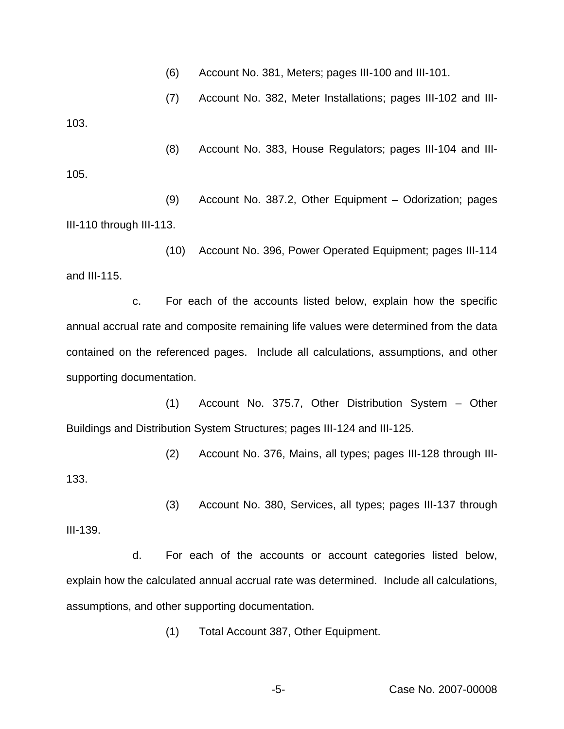(6) Account No. 381, Meters; pages III-100 and III-101.

(7) Account No. 382, Meter Installations; pages III-102 and III-103.

(8) Account No. 383, House Regulators; pages III-104 and III-105.

(9) Account No. 387.2, Other Equipment – Odorization; pages III-110 through III-113.

(10) Account No. 396, Power Operated Equipment; pages III-114 and III-115.

c. For each of the accounts listed below, explain how the specific annual accrual rate and composite remaining life values were determined from the data contained on the referenced pages. Include all calculations, assumptions, and other supporting documentation.

(1) Account No. 375.7, Other Distribution System – Other Buildings and Distribution System Structures; pages III-124 and III-125.

(2) Account No. 376, Mains, all types; pages III-128 through III-133.

(3) Account No. 380, Services, all types; pages III-137 through

III-139.

d. For each of the accounts or account categories listed below, explain how the calculated annual accrual rate was determined. Include all calculations, assumptions, and other supporting documentation.

(1) Total Account 387, Other Equipment.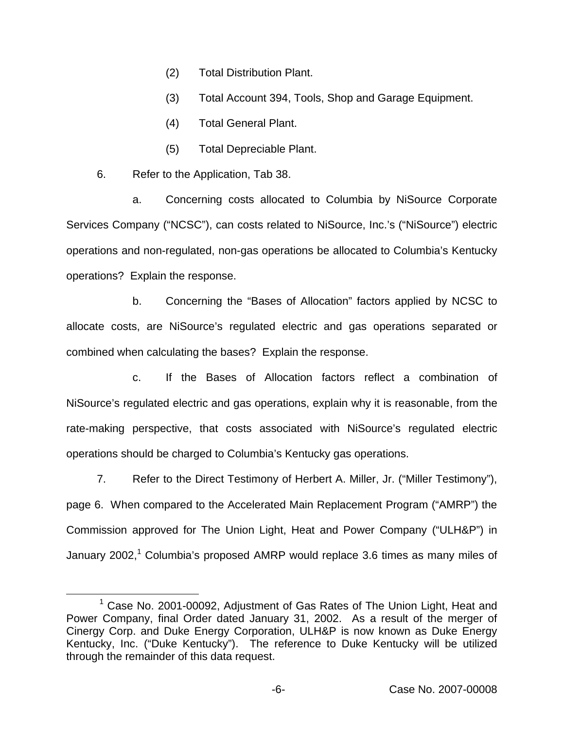- (2) Total Distribution Plant.
- (3) Total Account 394, Tools, Shop and Garage Equipment.
- (4) Total General Plant.
- (5) Total Depreciable Plant.
- 6. Refer to the Application, Tab 38.

a. Concerning costs allocated to Columbia by NiSource Corporate Services Company ("NCSC"), can costs related to NiSource, Inc.'s ("NiSource") electric operations and non-regulated, non-gas operations be allocated to Columbia's Kentucky operations? Explain the response.

b. Concerning the "Bases of Allocation" factors applied by NCSC to allocate costs, are NiSource's regulated electric and gas operations separated or combined when calculating the bases? Explain the response.

c. If the Bases of Allocation factors reflect a combination of NiSource's regulated electric and gas operations, explain why it is reasonable, from the rate-making perspective, that costs associated with NiSource's regulated electric operations should be charged to Columbia's Kentucky gas operations.

7. Refer to the Direct Testimony of Herbert A. Miller, Jr. ("Miller Testimony"), page 6. When compared to the Accelerated Main Replacement Program ("AMRP") the Commission approved for The Union Light, Heat and Power Company ("ULH&P") in January 2002,<sup>1</sup> Columbia's proposed AMRP would replace 3.6 times as many miles of

 $1$  Case No. 2001-00092, Adjustment of Gas Rates of The Union Light, Heat and Power Company, final Order dated January 31, 2002. As a result of the merger of Cinergy Corp. and Duke Energy Corporation, ULH&P is now known as Duke Energy Kentucky, Inc. ("Duke Kentucky"). The reference to Duke Kentucky will be utilized through the remainder of this data request.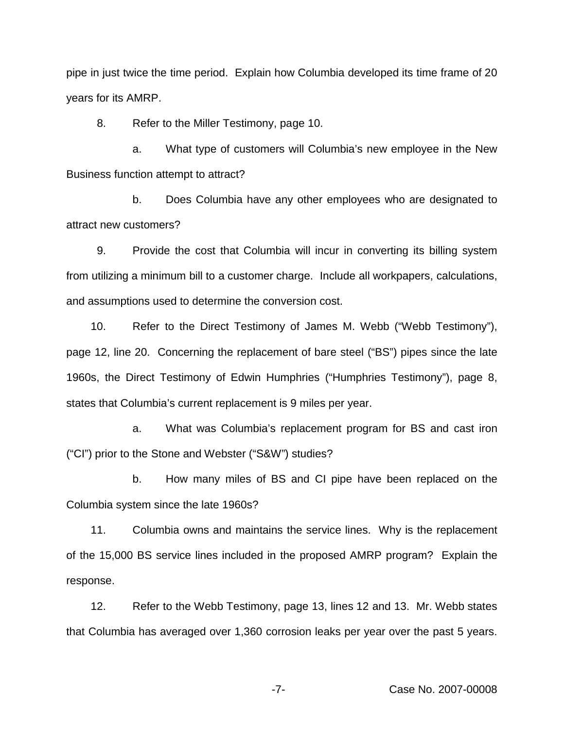pipe in just twice the time period. Explain how Columbia developed its time frame of 20 years for its AMRP.

8. Refer to the Miller Testimony, page 10.

a. What type of customers will Columbia's new employee in the New Business function attempt to attract?

b. Does Columbia have any other employees who are designated to attract new customers?

9. Provide the cost that Columbia will incur in converting its billing system from utilizing a minimum bill to a customer charge. Include all workpapers, calculations, and assumptions used to determine the conversion cost.

10. Refer to the Direct Testimony of James M. Webb ("Webb Testimony"), page 12, line 20. Concerning the replacement of bare steel ("BS") pipes since the late 1960s, the Direct Testimony of Edwin Humphries ("Humphries Testimony"), page 8, states that Columbia's current replacement is 9 miles per year.

a. What was Columbia's replacement program for BS and cast iron ("CI") prior to the Stone and Webster ("S&W") studies?

b. How many miles of BS and CI pipe have been replaced on the Columbia system since the late 1960s?

11. Columbia owns and maintains the service lines. Why is the replacement of the 15,000 BS service lines included in the proposed AMRP program? Explain the response.

12. Refer to the Webb Testimony, page 13, lines 12 and 13. Mr. Webb states that Columbia has averaged over 1,360 corrosion leaks per year over the past 5 years.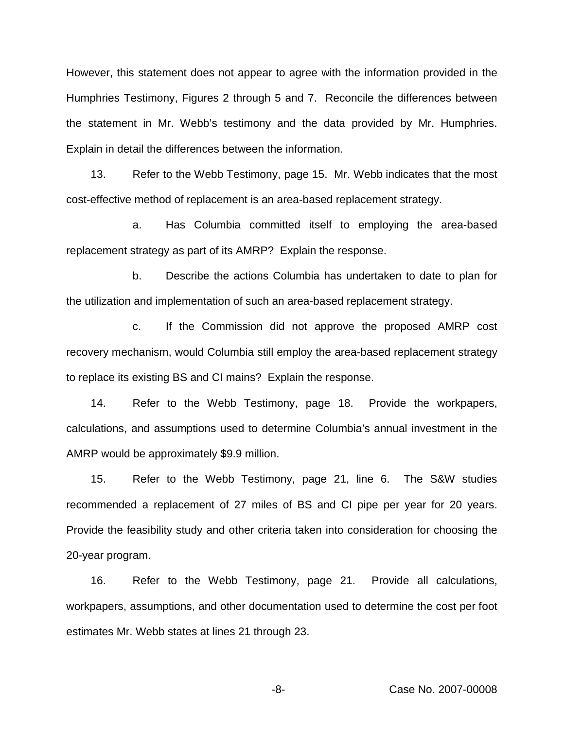However, this statement does not appear to agree with the information provided in the Humphries Testimony, Figures 2 through 5 and 7. Reconcile the differences between the statement in Mr. Webb's testimony and the data provided by Mr. Humphries. Explain in detail the differences between the information.

13. Refer to the Webb Testimony, page 15. Mr. Webb indicates that the most cost-effective method of replacement is an area-based replacement strategy.

a. Has Columbia committed itself to employing the area-based replacement strategy as part of its AMRP? Explain the response.

b. Describe the actions Columbia has undertaken to date to plan for the utilization and implementation of such an area-based replacement strategy.

c. If the Commission did not approve the proposed AMRP cost recovery mechanism, would Columbia still employ the area-based replacement strategy to replace its existing BS and CI mains? Explain the response.

14. Refer to the Webb Testimony, page 18. Provide the workpapers, calculations, and assumptions used to determine Columbia's annual investment in the AMRP would be approximately \$9.9 million.

15. Refer to the Webb Testimony, page 21, line 6. The S&W studies recommended a replacement of 27 miles of BS and CI pipe per year for 20 years. Provide the feasibility study and other criteria taken into consideration for choosing the 20-year program.

16. Refer to the Webb Testimony, page 21. Provide all calculations, workpapers, assumptions, and other documentation used to determine the cost per foot estimates Mr. Webb states at lines 21 through 23.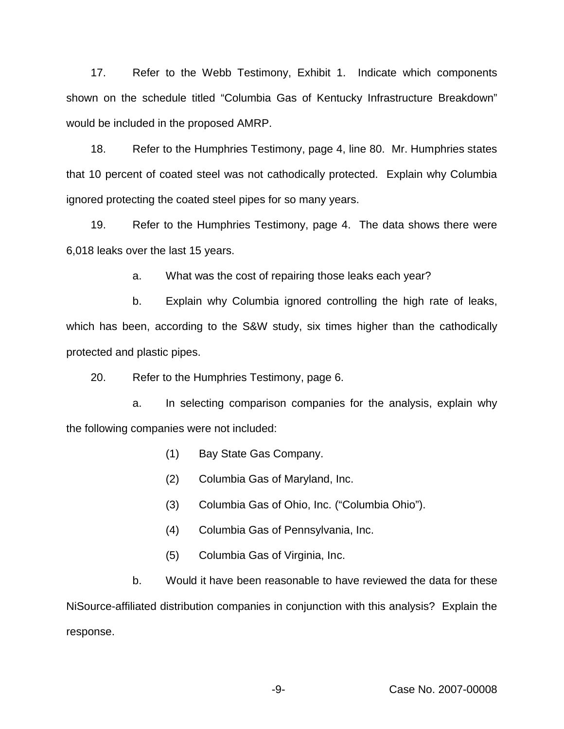17. Refer to the Webb Testimony, Exhibit 1. Indicate which components shown on the schedule titled "Columbia Gas of Kentucky Infrastructure Breakdown" would be included in the proposed AMRP.

18. Refer to the Humphries Testimony, page 4, line 80. Mr. Humphries states that 10 percent of coated steel was not cathodically protected. Explain why Columbia ignored protecting the coated steel pipes for so many years.

19. Refer to the Humphries Testimony, page 4. The data shows there were 6,018 leaks over the last 15 years.

a. What was the cost of repairing those leaks each year?

b. Explain why Columbia ignored controlling the high rate of leaks, which has been, according to the S&W study, six times higher than the cathodically protected and plastic pipes.

20. Refer to the Humphries Testimony, page 6.

a. In selecting comparison companies for the analysis, explain why the following companies were not included:

- (1) Bay State Gas Company.
- (2) Columbia Gas of Maryland, Inc.
- (3) Columbia Gas of Ohio, Inc. ("Columbia Ohio").
- (4) Columbia Gas of Pennsylvania, Inc.
- (5) Columbia Gas of Virginia, Inc.

b. Would it have been reasonable to have reviewed the data for these NiSource-affiliated distribution companies in conjunction with this analysis? Explain the response.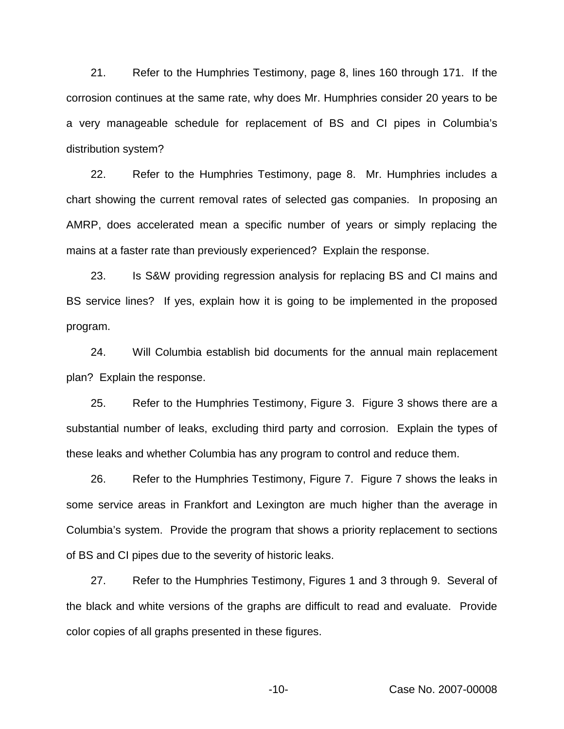21. Refer to the Humphries Testimony, page 8, lines 160 through 171. If the corrosion continues at the same rate, why does Mr. Humphries consider 20 years to be a very manageable schedule for replacement of BS and CI pipes in Columbia's distribution system?

22. Refer to the Humphries Testimony, page 8. Mr. Humphries includes a chart showing the current removal rates of selected gas companies. In proposing an AMRP, does accelerated mean a specific number of years or simply replacing the mains at a faster rate than previously experienced? Explain the response.

23. Is S&W providing regression analysis for replacing BS and CI mains and BS service lines? If yes, explain how it is going to be implemented in the proposed program.

24. Will Columbia establish bid documents for the annual main replacement plan? Explain the response.

25. Refer to the Humphries Testimony, Figure 3. Figure 3 shows there are a substantial number of leaks, excluding third party and corrosion. Explain the types of these leaks and whether Columbia has any program to control and reduce them.

26. Refer to the Humphries Testimony, Figure 7. Figure 7 shows the leaks in some service areas in Frankfort and Lexington are much higher than the average in Columbia's system. Provide the program that shows a priority replacement to sections of BS and CI pipes due to the severity of historic leaks.

27. Refer to the Humphries Testimony, Figures 1 and 3 through 9. Several of the black and white versions of the graphs are difficult to read and evaluate. Provide color copies of all graphs presented in these figures.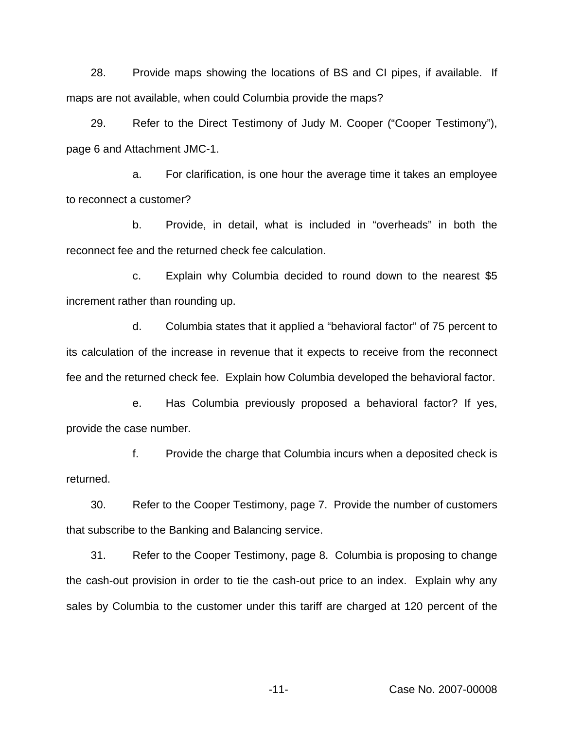28. Provide maps showing the locations of BS and CI pipes, if available. If maps are not available, when could Columbia provide the maps?

29. Refer to the Direct Testimony of Judy M. Cooper ("Cooper Testimony"), page 6 and Attachment JMC-1.

a. For clarification, is one hour the average time it takes an employee to reconnect a customer?

b. Provide, in detail, what is included in "overheads" in both the reconnect fee and the returned check fee calculation.

c. Explain why Columbia decided to round down to the nearest \$5 increment rather than rounding up.

d. Columbia states that it applied a "behavioral factor" of 75 percent to its calculation of the increase in revenue that it expects to receive from the reconnect fee and the returned check fee. Explain how Columbia developed the behavioral factor.

e. Has Columbia previously proposed a behavioral factor? If yes, provide the case number.

f. Provide the charge that Columbia incurs when a deposited check is returned.

30. Refer to the Cooper Testimony, page 7. Provide the number of customers that subscribe to the Banking and Balancing service.

31. Refer to the Cooper Testimony, page 8. Columbia is proposing to change the cash-out provision in order to tie the cash-out price to an index. Explain why any sales by Columbia to the customer under this tariff are charged at 120 percent of the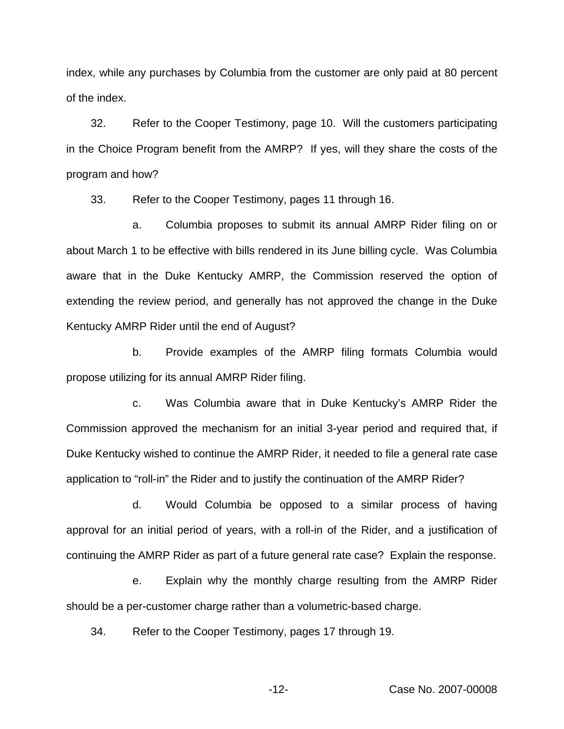index, while any purchases by Columbia from the customer are only paid at 80 percent of the index.

32. Refer to the Cooper Testimony, page 10. Will the customers participating in the Choice Program benefit from the AMRP? If yes, will they share the costs of the program and how?

33. Refer to the Cooper Testimony, pages 11 through 16.

a. Columbia proposes to submit its annual AMRP Rider filing on or about March 1 to be effective with bills rendered in its June billing cycle. Was Columbia aware that in the Duke Kentucky AMRP, the Commission reserved the option of extending the review period, and generally has not approved the change in the Duke Kentucky AMRP Rider until the end of August?

b. Provide examples of the AMRP filing formats Columbia would propose utilizing for its annual AMRP Rider filing.

c. Was Columbia aware that in Duke Kentucky's AMRP Rider the Commission approved the mechanism for an initial 3-year period and required that, if Duke Kentucky wished to continue the AMRP Rider, it needed to file a general rate case application to "roll-in" the Rider and to justify the continuation of the AMRP Rider?

d. Would Columbia be opposed to a similar process of having approval for an initial period of years, with a roll-in of the Rider, and a justification of continuing the AMRP Rider as part of a future general rate case? Explain the response.

e. Explain why the monthly charge resulting from the AMRP Rider should be a per-customer charge rather than a volumetric-based charge.

34. Refer to the Cooper Testimony, pages 17 through 19.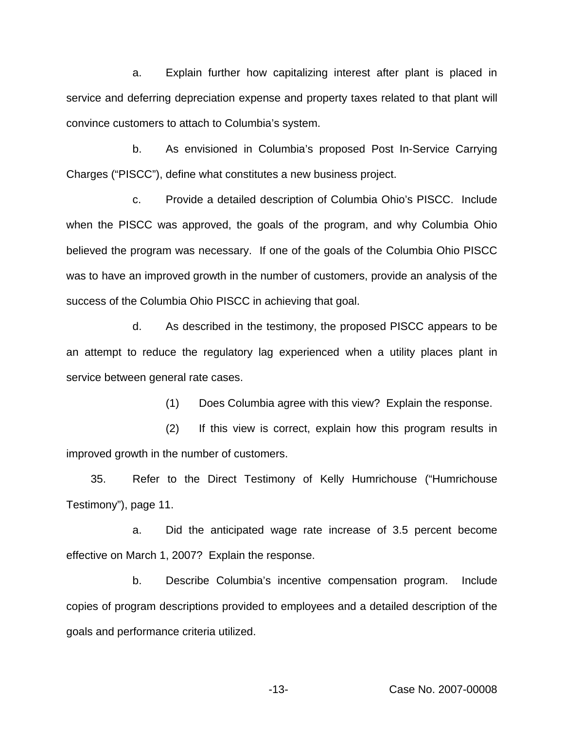a. Explain further how capitalizing interest after plant is placed in service and deferring depreciation expense and property taxes related to that plant will convince customers to attach to Columbia's system.

b. As envisioned in Columbia's proposed Post In-Service Carrying Charges ("PISCC"), define what constitutes a new business project.

c. Provide a detailed description of Columbia Ohio's PISCC. Include when the PISCC was approved, the goals of the program, and why Columbia Ohio believed the program was necessary. If one of the goals of the Columbia Ohio PISCC was to have an improved growth in the number of customers, provide an analysis of the success of the Columbia Ohio PISCC in achieving that goal.

d. As described in the testimony, the proposed PISCC appears to be an attempt to reduce the regulatory lag experienced when a utility places plant in service between general rate cases.

(1) Does Columbia agree with this view? Explain the response.

(2) If this view is correct, explain how this program results in improved growth in the number of customers.

35. Refer to the Direct Testimony of Kelly Humrichouse ("Humrichouse Testimony"), page 11.

a. Did the anticipated wage rate increase of 3.5 percent become effective on March 1, 2007? Explain the response.

b. Describe Columbia's incentive compensation program. Include copies of program descriptions provided to employees and a detailed description of the goals and performance criteria utilized.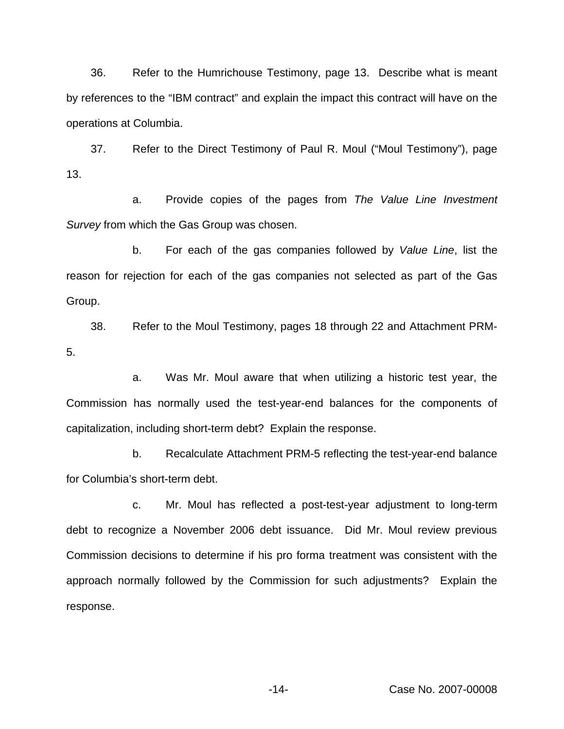36. Refer to the Humrichouse Testimony, page 13. Describe what is meant by references to the "IBM contract" and explain the impact this contract will have on the operations at Columbia.

37. Refer to the Direct Testimony of Paul R. Moul ("Moul Testimony"), page 13.

a. Provide copies of the pages from *The Value Line Investment Survey* from which the Gas Group was chosen.

b. For each of the gas companies followed by *Value Line*, list the reason for rejection for each of the gas companies not selected as part of the Gas Group.

38. Refer to the Moul Testimony, pages 18 through 22 and Attachment PRM-5.

a. Was Mr. Moul aware that when utilizing a historic test year, the Commission has normally used the test-year-end balances for the components of capitalization, including short-term debt? Explain the response.

b. Recalculate Attachment PRM-5 reflecting the test-year-end balance for Columbia's short-term debt.

c. Mr. Moul has reflected a post-test-year adjustment to long-term debt to recognize a November 2006 debt issuance. Did Mr. Moul review previous Commission decisions to determine if his pro forma treatment was consistent with the approach normally followed by the Commission for such adjustments? Explain the response.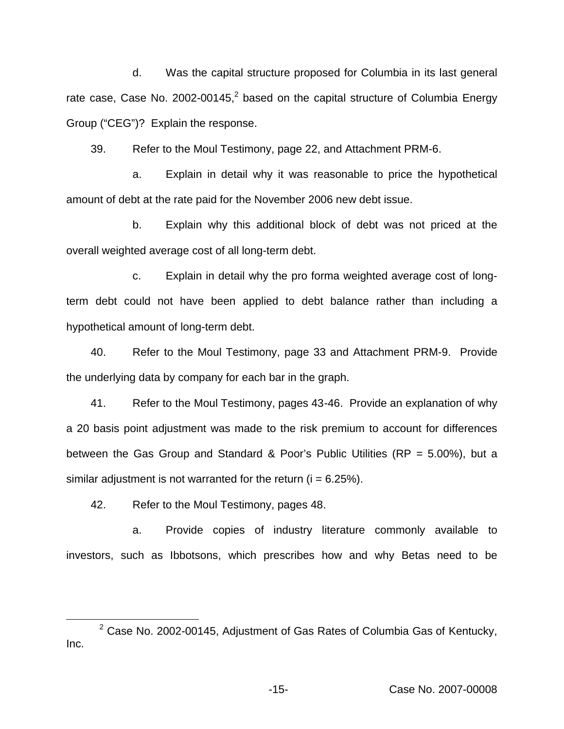d. Was the capital structure proposed for Columbia in its last general rate case, Case No. 2002-00145, $^2$  based on the capital structure of Columbia Energy Group ("CEG")? Explain the response.

39. Refer to the Moul Testimony, page 22, and Attachment PRM-6.

a. Explain in detail why it was reasonable to price the hypothetical amount of debt at the rate paid for the November 2006 new debt issue.

b. Explain why this additional block of debt was not priced at the overall weighted average cost of all long-term debt.

c. Explain in detail why the pro forma weighted average cost of longterm debt could not have been applied to debt balance rather than including a hypothetical amount of long-term debt.

40. Refer to the Moul Testimony, page 33 and Attachment PRM-9. Provide the underlying data by company for each bar in the graph.

41. Refer to the Moul Testimony, pages 43-46. Provide an explanation of why a 20 basis point adjustment was made to the risk premium to account for differences between the Gas Group and Standard & Poor's Public Utilities (RP = 5.00%), but a similar adjustment is not warranted for the return  $(i = 6.25\%)$ .

42. Refer to the Moul Testimony, pages 48.

a. Provide copies of industry literature commonly available to investors, such as Ibbotsons, which prescribes how and why Betas need to be

 $2$  Case No. 2002-00145, Adjustment of Gas Rates of Columbia Gas of Kentucky, Inc.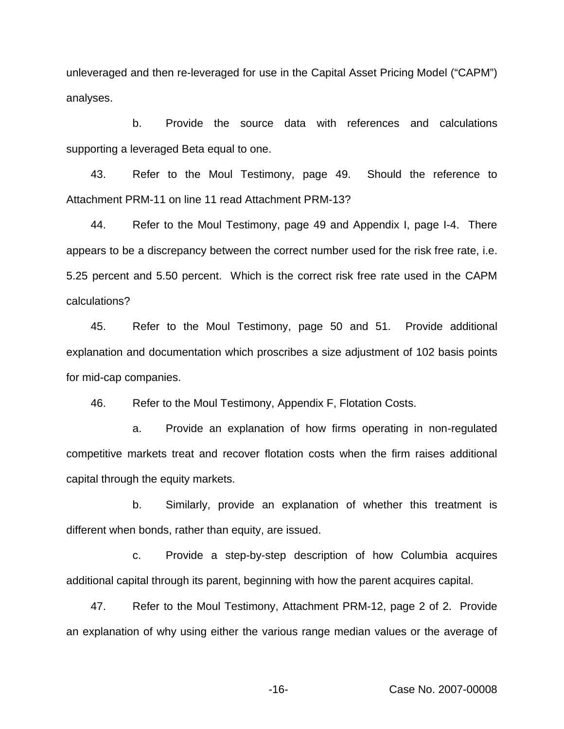unleveraged and then re-leveraged for use in the Capital Asset Pricing Model ("CAPM") analyses.

b. Provide the source data with references and calculations supporting a leveraged Beta equal to one.

43. Refer to the Moul Testimony, page 49. Should the reference to Attachment PRM-11 on line 11 read Attachment PRM-13?

44. Refer to the Moul Testimony, page 49 and Appendix I, page I-4. There appears to be a discrepancy between the correct number used for the risk free rate, i.e. 5.25 percent and 5.50 percent. Which is the correct risk free rate used in the CAPM calculations?

45. Refer to the Moul Testimony, page 50 and 51. Provide additional explanation and documentation which proscribes a size adjustment of 102 basis points for mid-cap companies.

46. Refer to the Moul Testimony, Appendix F, Flotation Costs.

a. Provide an explanation of how firms operating in non-regulated competitive markets treat and recover flotation costs when the firm raises additional capital through the equity markets.

b. Similarly, provide an explanation of whether this treatment is different when bonds, rather than equity, are issued.

c. Provide a step-by-step description of how Columbia acquires additional capital through its parent, beginning with how the parent acquires capital.

47. Refer to the Moul Testimony, Attachment PRM-12, page 2 of 2. Provide an explanation of why using either the various range median values or the average of

-16- Case No. 2007-00008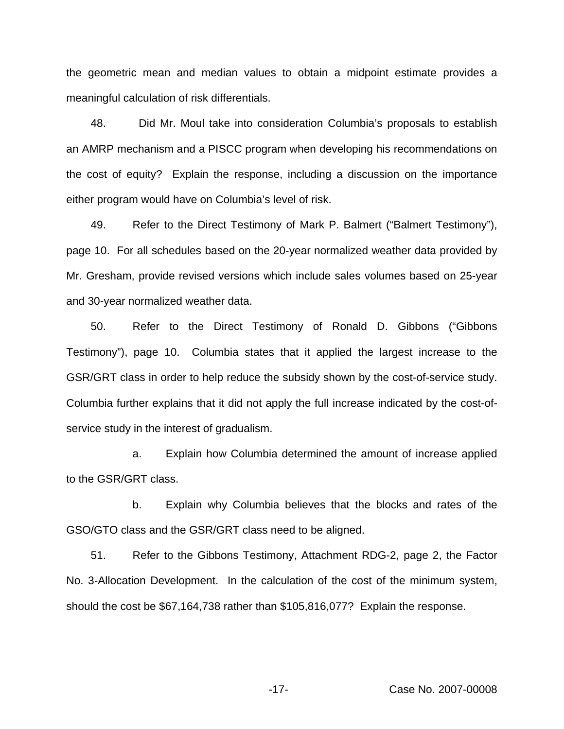the geometric mean and median values to obtain a midpoint estimate provides a meaningful calculation of risk differentials.

48. Did Mr. Moul take into consideration Columbia's proposals to establish an AMRP mechanism and a PISCC program when developing his recommendations on the cost of equity? Explain the response, including a discussion on the importance either program would have on Columbia's level of risk.

49. Refer to the Direct Testimony of Mark P. Balmert ("Balmert Testimony"), page 10. For all schedules based on the 20-year normalized weather data provided by Mr. Gresham, provide revised versions which include sales volumes based on 25-year and 30-year normalized weather data.

50. Refer to the Direct Testimony of Ronald D. Gibbons ("Gibbons Testimony"), page 10. Columbia states that it applied the largest increase to the GSR/GRT class in order to help reduce the subsidy shown by the cost-of-service study. Columbia further explains that it did not apply the full increase indicated by the cost-ofservice study in the interest of gradualism.

a. Explain how Columbia determined the amount of increase applied to the GSR/GRT class.

b. Explain why Columbia believes that the blocks and rates of the GSO/GTO class and the GSR/GRT class need to be aligned.

51. Refer to the Gibbons Testimony, Attachment RDG-2, page 2, the Factor No. 3-Allocation Development. In the calculation of the cost of the minimum system, should the cost be \$67,164,738 rather than \$105,816,077? Explain the response.

-17- Case No. 2007-00008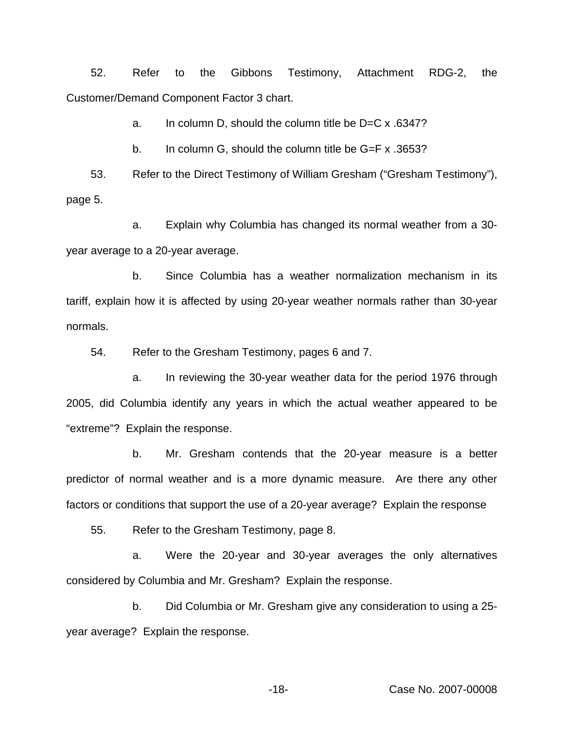52. Refer to the Gibbons Testimony, Attachment RDG-2, the Customer/Demand Component Factor 3 chart.

a. In column D, should the column title be D=C x .6347?

b. In column G, should the column title be G=F x .3653?

53. Refer to the Direct Testimony of William Gresham ("Gresham Testimony"), page 5.

a. Explain why Columbia has changed its normal weather from a 30 year average to a 20-year average.

b. Since Columbia has a weather normalization mechanism in its tariff, explain how it is affected by using 20-year weather normals rather than 30-year normals.

54. Refer to the Gresham Testimony, pages 6 and 7.

a. In reviewing the 30-year weather data for the period 1976 through 2005, did Columbia identify any years in which the actual weather appeared to be "extreme"? Explain the response.

b. Mr. Gresham contends that the 20-year measure is a better predictor of normal weather and is a more dynamic measure. Are there any other factors or conditions that support the use of a 20-year average? Explain the response

55. Refer to the Gresham Testimony, page 8.

a. Were the 20-year and 30-year averages the only alternatives considered by Columbia and Mr. Gresham? Explain the response.

b. Did Columbia or Mr. Gresham give any consideration to using a 25 year average? Explain the response.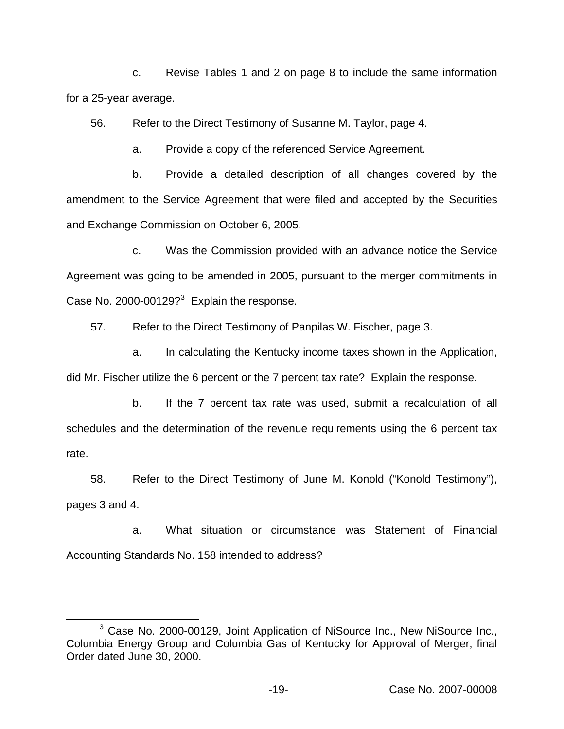c. Revise Tables 1 and 2 on page 8 to include the same information for a 25-year average.

56. Refer to the Direct Testimony of Susanne M. Taylor, page 4.

a. Provide a copy of the referenced Service Agreement.

b. Provide a detailed description of all changes covered by the amendment to the Service Agreement that were filed and accepted by the Securities and Exchange Commission on October 6, 2005.

c. Was the Commission provided with an advance notice the Service Agreement was going to be amended in 2005, pursuant to the merger commitments in Case No. 2000-00129? $3$  Explain the response.

57. Refer to the Direct Testimony of Panpilas W. Fischer, page 3.

a. In calculating the Kentucky income taxes shown in the Application, did Mr. Fischer utilize the 6 percent or the 7 percent tax rate? Explain the response.

b. If the 7 percent tax rate was used, submit a recalculation of all schedules and the determination of the revenue requirements using the 6 percent tax rate.

58. Refer to the Direct Testimony of June M. Konold ("Konold Testimony"), pages 3 and 4.

a. What situation or circumstance was Statement of Financial Accounting Standards No. 158 intended to address?

<sup>3</sup> Case No. 2000-00129, Joint Application of NiSource Inc., New NiSource Inc., Columbia Energy Group and Columbia Gas of Kentucky for Approval of Merger, final Order dated June 30, 2000.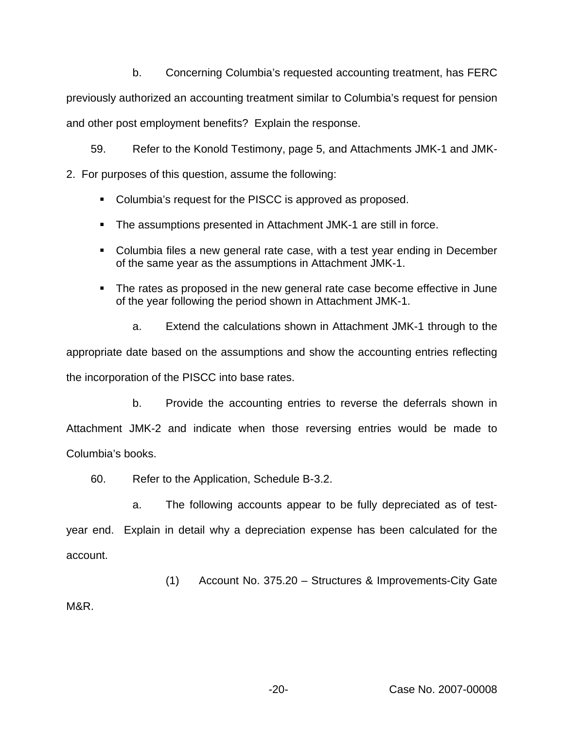b. Concerning Columbia's requested accounting treatment, has FERC

previously authorized an accounting treatment similar to Columbia's request for pension and other post employment benefits? Explain the response.

59. Refer to the Konold Testimony, page 5, and Attachments JMK-1 and JMK-

2. For purposes of this question, assume the following:

- Columbia's request for the PISCC is approved as proposed.
- The assumptions presented in Attachment JMK-1 are still in force.
- Columbia files a new general rate case, with a test year ending in December of the same year as the assumptions in Attachment JMK-1.
- The rates as proposed in the new general rate case become effective in June of the year following the period shown in Attachment JMK-1.
	- a. Extend the calculations shown in Attachment JMK-1 through to the

appropriate date based on the assumptions and show the accounting entries reflecting the incorporation of the PISCC into base rates.

b. Provide the accounting entries to reverse the deferrals shown in Attachment JMK-2 and indicate when those reversing entries would be made to Columbia's books.

60. Refer to the Application, Schedule B-3.2.

a. The following accounts appear to be fully depreciated as of testyear end. Explain in detail why a depreciation expense has been calculated for the account.

(1) Account No. 375.20 – Structures & Improvements-City Gate

M&R.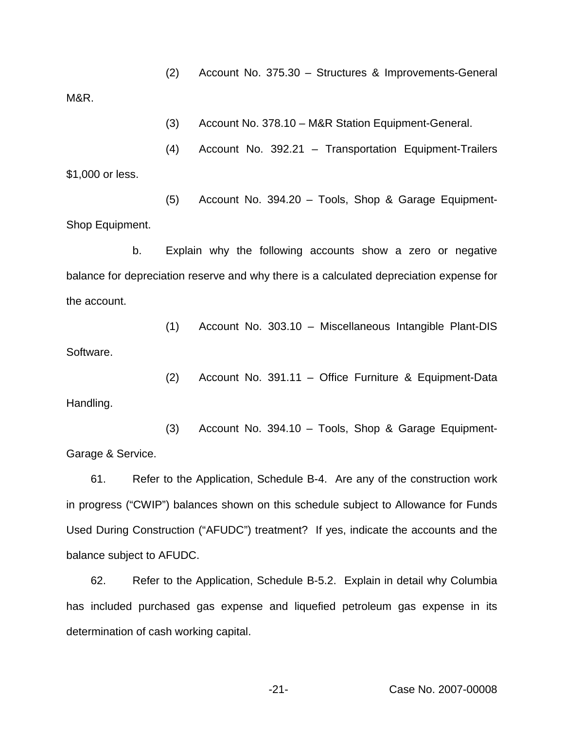(2) Account No. 375.30 – Structures & Improvements-General

M&R.

(3) Account No. 378.10 – M&R Station Equipment-General.

(4) Account No. 392.21 – Transportation Equipment-Trailers \$1,000 or less.

(5) Account No. 394.20 – Tools, Shop & Garage Equipment-Shop Equipment.

b. Explain why the following accounts show a zero or negative balance for depreciation reserve and why there is a calculated depreciation expense for the account.

(1) Account No. 303.10 – Miscellaneous Intangible Plant-DIS Software.

(2) Account No. 391.11 – Office Furniture & Equipment-Data Handling.

(3) Account No. 394.10 – Tools, Shop & Garage Equipment-Garage & Service.

61. Refer to the Application, Schedule B-4. Are any of the construction work in progress ("CWIP") balances shown on this schedule subject to Allowance for Funds Used During Construction ("AFUDC") treatment? If yes, indicate the accounts and the balance subject to AFUDC.

62. Refer to the Application, Schedule B-5.2. Explain in detail why Columbia has included purchased gas expense and liquefied petroleum gas expense in its determination of cash working capital.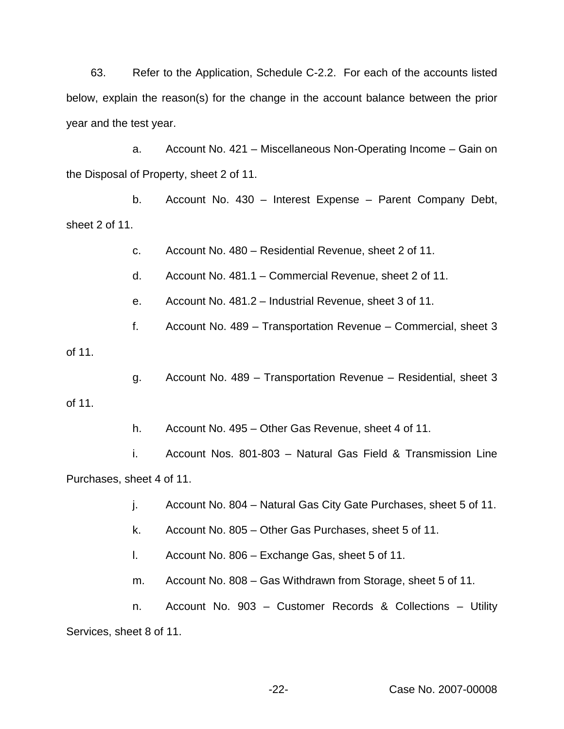63. Refer to the Application, Schedule C-2.2. For each of the accounts listed below, explain the reason(s) for the change in the account balance between the prior year and the test year.

a. Account No. 421 – Miscellaneous Non-Operating Income – Gain on the Disposal of Property, sheet 2 of 11.

b. Account No. 430 – Interest Expense – Parent Company Debt, sheet 2 of 11.

c. Account No. 480 – Residential Revenue, sheet 2 of 11.

d. Account No. 481.1 – Commercial Revenue, sheet 2 of 11.

e. Account No. 481.2 – Industrial Revenue, sheet 3 of 11.

f. Account No. 489 – Transportation Revenue – Commercial, sheet 3

of 11.

g. Account No. 489 – Transportation Revenue – Residential, sheet 3

of 11.

h. Account No. 495 – Other Gas Revenue, sheet 4 of 11.

i. Account Nos. 801-803 – Natural Gas Field & Transmission Line Purchases, sheet 4 of 11.

j. Account No. 804 – Natural Gas City Gate Purchases, sheet 5 of 11.

k. Account No. 805 – Other Gas Purchases, sheet 5 of 11.

l. Account No. 806 – Exchange Gas, sheet 5 of 11.

m. Account No. 808 – Gas Withdrawn from Storage, sheet 5 of 11.

n. Account No. 903 – Customer Records & Collections – Utility Services, sheet 8 of 11.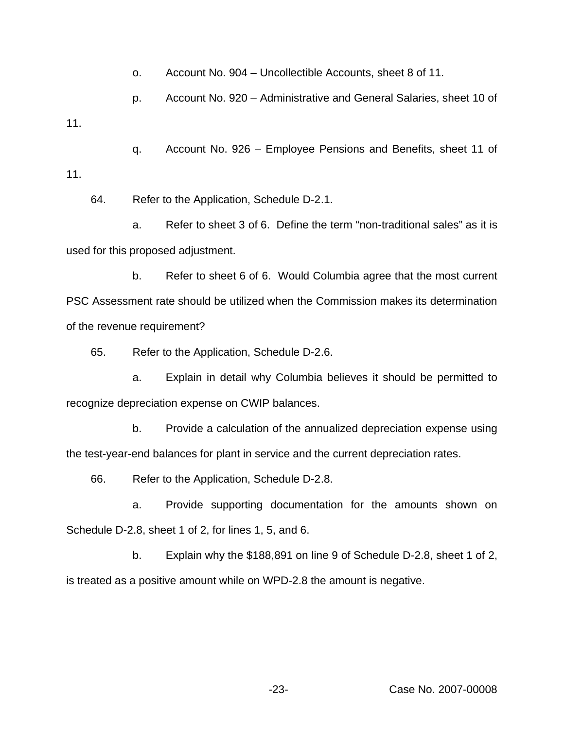o. Account No. 904 – Uncollectible Accounts, sheet 8 of 11.

p. Account No. 920 – Administrative and General Salaries, sheet 10 of

q. Account No. 926 – Employee Pensions and Benefits, sheet 11 of 11.

64. Refer to the Application, Schedule D-2.1.

11.

a. Refer to sheet 3 of 6. Define the term "non-traditional sales" as it is used for this proposed adjustment.

b. Refer to sheet 6 of 6. Would Columbia agree that the most current PSC Assessment rate should be utilized when the Commission makes its determination of the revenue requirement?

65. Refer to the Application, Schedule D-2.6.

a. Explain in detail why Columbia believes it should be permitted to recognize depreciation expense on CWIP balances.

b. Provide a calculation of the annualized depreciation expense using the test-year-end balances for plant in service and the current depreciation rates.

66. Refer to the Application, Schedule D-2.8.

a. Provide supporting documentation for the amounts shown on Schedule D-2.8, sheet 1 of 2, for lines 1, 5, and 6.

b. Explain why the \$188,891 on line 9 of Schedule D-2.8, sheet 1 of 2, is treated as a positive amount while on WPD-2.8 the amount is negative.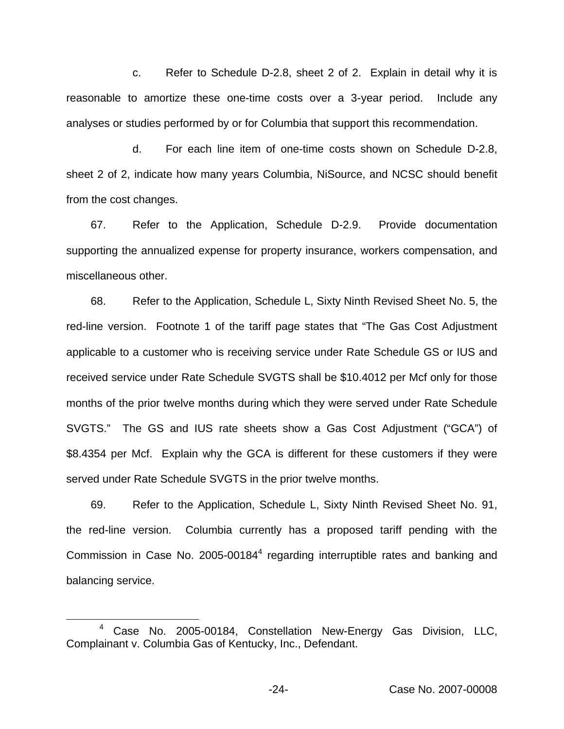c. Refer to Schedule D-2.8, sheet 2 of 2. Explain in detail why it is reasonable to amortize these one-time costs over a 3-year period. Include any analyses or studies performed by or for Columbia that support this recommendation.

d. For each line item of one-time costs shown on Schedule D-2.8, sheet 2 of 2, indicate how many years Columbia, NiSource, and NCSC should benefit from the cost changes.

67. Refer to the Application, Schedule D-2.9. Provide documentation supporting the annualized expense for property insurance, workers compensation, and miscellaneous other.

68. Refer to the Application, Schedule L, Sixty Ninth Revised Sheet No. 5, the red-line version. Footnote 1 of the tariff page states that "The Gas Cost Adjustment applicable to a customer who is receiving service under Rate Schedule GS or IUS and received service under Rate Schedule SVGTS shall be \$10.4012 per Mcf only for those months of the prior twelve months during which they were served under Rate Schedule SVGTS." The GS and IUS rate sheets show a Gas Cost Adjustment ("GCA") of \$8.4354 per Mcf. Explain why the GCA is different for these customers if they were served under Rate Schedule SVGTS in the prior twelve months.

69. Refer to the Application, Schedule L, Sixty Ninth Revised Sheet No. 91, the red-line version. Columbia currently has a proposed tariff pending with the Commission in Case No. 2005-00184 $4$  regarding interruptible rates and banking and balancing service.

<sup>4</sup> Case No. 2005-00184, Constellation New-Energy Gas Division, LLC, Complainant v. Columbia Gas of Kentucky, Inc., Defendant.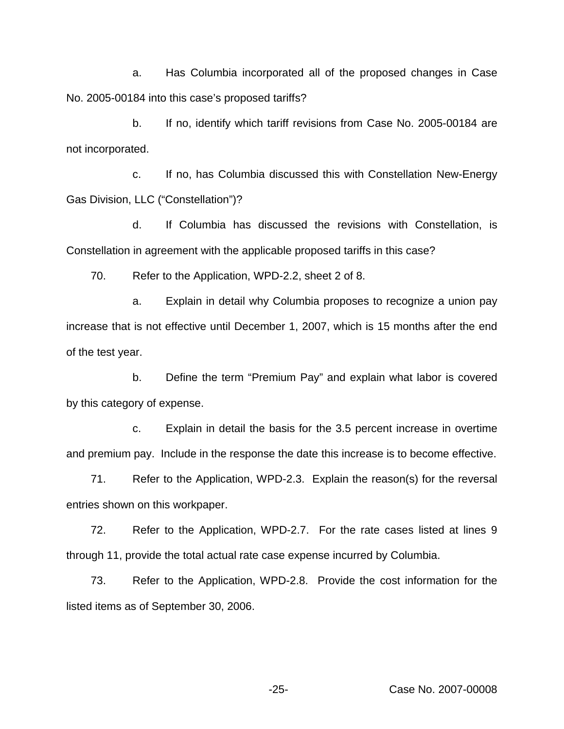a. Has Columbia incorporated all of the proposed changes in Case No. 2005-00184 into this case's proposed tariffs?

b. If no, identify which tariff revisions from Case No. 2005-00184 are not incorporated.

c. If no, has Columbia discussed this with Constellation New-Energy Gas Division, LLC ("Constellation")?

d. If Columbia has discussed the revisions with Constellation, is Constellation in agreement with the applicable proposed tariffs in this case?

70. Refer to the Application, WPD-2.2, sheet 2 of 8.

a. Explain in detail why Columbia proposes to recognize a union pay increase that is not effective until December 1, 2007, which is 15 months after the end of the test year.

b. Define the term "Premium Pay" and explain what labor is covered by this category of expense.

c. Explain in detail the basis for the 3.5 percent increase in overtime and premium pay. Include in the response the date this increase is to become effective.

71. Refer to the Application, WPD-2.3. Explain the reason(s) for the reversal entries shown on this workpaper.

72. Refer to the Application, WPD-2.7. For the rate cases listed at lines 9 through 11, provide the total actual rate case expense incurred by Columbia.

73. Refer to the Application, WPD-2.8. Provide the cost information for the listed items as of September 30, 2006.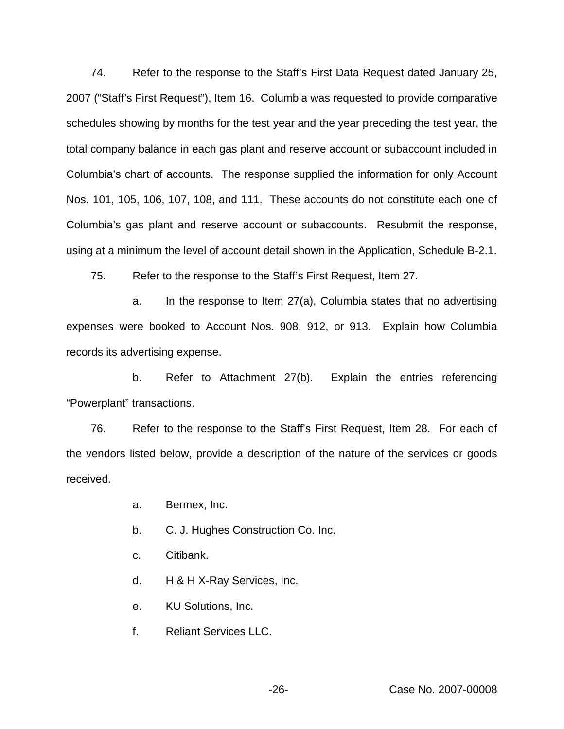74. Refer to the response to the Staff's First Data Request dated January 25, 2007 ("Staff's First Request"), Item 16. Columbia was requested to provide comparative schedules showing by months for the test year and the year preceding the test year, the total company balance in each gas plant and reserve account or subaccount included in Columbia's chart of accounts. The response supplied the information for only Account Nos. 101, 105, 106, 107, 108, and 111. These accounts do not constitute each one of Columbia's gas plant and reserve account or subaccounts. Resubmit the response, using at a minimum the level of account detail shown in the Application, Schedule B-2.1.

75. Refer to the response to the Staff's First Request, Item 27.

a. In the response to Item 27(a), Columbia states that no advertising expenses were booked to Account Nos. 908, 912, or 913. Explain how Columbia records its advertising expense.

b. Refer to Attachment 27(b). Explain the entries referencing "Powerplant" transactions.

76. Refer to the response to the Staff's First Request, Item 28. For each of the vendors listed below, provide a description of the nature of the services or goods received.

- a. Bermex, Inc.
- b. C. J. Hughes Construction Co. Inc.
- c. Citibank.
- d. H & H X-Ray Services, Inc.
- e. KU Solutions, Inc.
- f. Reliant Services LLC.